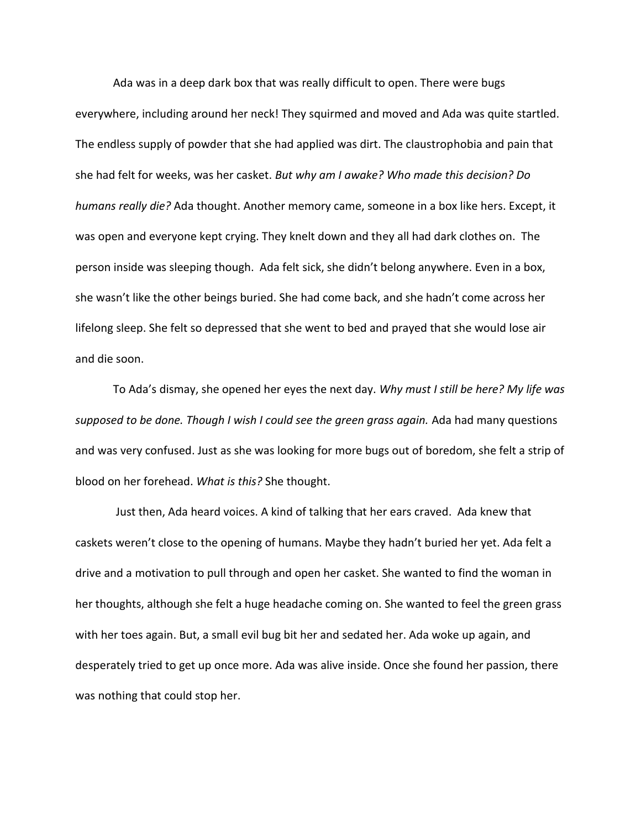Ada was in a deep dark box that was really difficult to open. There were bugs everywhere, including around her neck! They squirmed and moved and Ada was quite startled. The endless supply of powder that she had applied was dirt. The claustrophobia and pain that she had felt for weeks, was her casket. *But why am I awake? Who made this decision? Do humans really die?* Ada thought. Another memory came, someone in a box like hers. Except, it was open and everyone kept crying. They knelt down and they all had dark clothes on. The person inside was sleeping though. Ada felt sick, she didn't belong anywhere. Even in a box, she wasn't like the other beings buried. She had come back, and she hadn't come across her lifelong sleep. She felt so depressed that she went to bed and prayed that she would lose air and die soon.

To Ada's dismay, she opened her eyes the next day. *Why must I still be here? My life was supposed to be done. Though I wish I could see the green grass again.* Ada had many questions and was very confused. Just as she was looking for more bugs out of boredom, she felt a strip of blood on her forehead. *What is this?* She thought.

Just then, Ada heard voices. A kind of talking that her ears craved. Ada knew that caskets weren't close to the opening of humans. Maybe they hadn't buried her yet. Ada felt a drive and a motivation to pull through and open her casket. She wanted to find the woman in her thoughts, although she felt a huge headache coming on. She wanted to feel the green grass with her toes again. But, a small evil bug bit her and sedated her. Ada woke up again, and desperately tried to get up once more. Ada was alive inside. Once she found her passion, there was nothing that could stop her.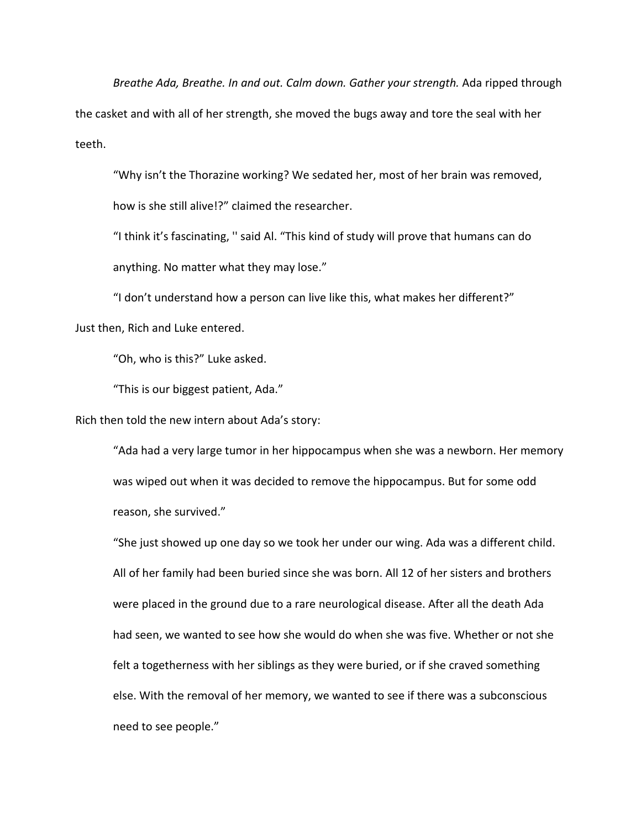*Breathe Ada, Breathe. In and out. Calm down. Gather your strength.* Ada ripped through the casket and with all of her strength, she moved the bugs away and tore the seal with her teeth.

"Why isn't the Thorazine working? We sedated her, most of her brain was removed,

how is she still alive!?" claimed the researcher.

"I think it's fascinating, '' said Al. "This kind of study will prove that humans can do anything. No matter what they may lose."

"I don't understand how a person can live like this, what makes her different?" Just then, Rich and Luke entered.

"Oh, who is this?" Luke asked.

"This is our biggest patient, Ada."

Rich then told the new intern about Ada's story:

"Ada had a very large tumor in her hippocampus when she was a newborn. Her memory was wiped out when it was decided to remove the hippocampus. But for some odd reason, she survived."

"She just showed up one day so we took her under our wing. Ada was a different child. All of her family had been buried since she was born. All 12 of her sisters and brothers were placed in the ground due to a rare neurological disease. After all the death Ada had seen, we wanted to see how she would do when she was five. Whether or not she felt a togetherness with her siblings as they were buried, or if she craved something else. With the removal of her memory, we wanted to see if there was a subconscious need to see people."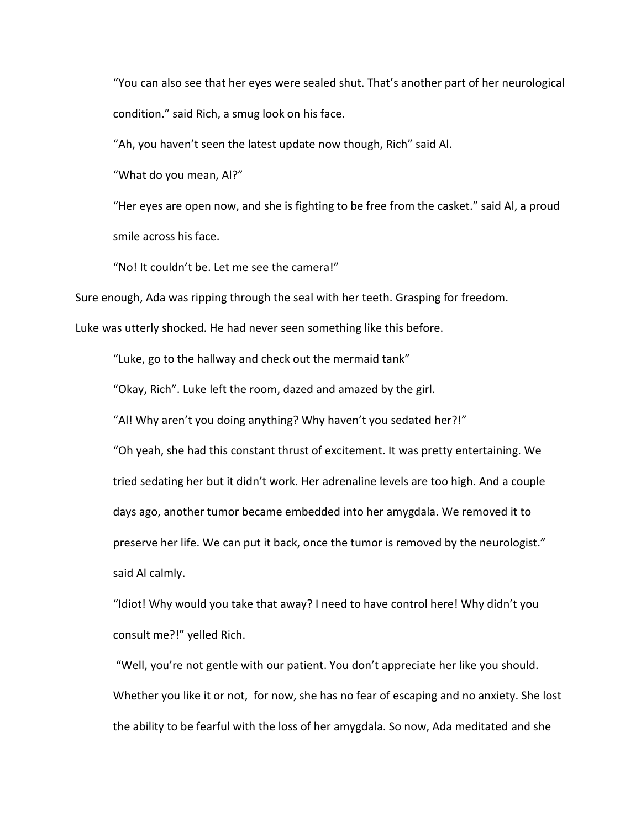"You can also see that her eyes were sealed shut. That's another part of her neurological condition." said Rich, a smug look on his face.

"Ah, you haven't seen the latest update now though, Rich" said Al.

"What do you mean, Al?"

"Her eyes are open now, and she is fighting to be free from the casket." said Al, a proud smile across his face.

"No! It couldn't be. Let me see the camera!"

Sure enough, Ada was ripping through the seal with her teeth. Grasping for freedom.

Luke was utterly shocked. He had never seen something like this before.

"Luke, go to the hallway and check out the mermaid tank"

"Okay, Rich". Luke left the room, dazed and amazed by the girl.

"Al! Why aren't you doing anything? Why haven't you sedated her?!"

"Oh yeah, she had this constant thrust of excitement. It was pretty entertaining. We tried sedating her but it didn't work. Her adrenaline levels are too high. And a couple days ago, another tumor became embedded into her amygdala. We removed it to preserve her life. We can put it back, once the tumor is removed by the neurologist." said Al calmly.

"Idiot! Why would you take that away? I need to have control here! Why didn't you consult me?!" yelled Rich.

"Well, you're not gentle with our patient. You don't appreciate her like you should. Whether you like it or not, for now, she has no fear of escaping and no anxiety. She lost the ability to be fearful with the loss of her amygdala. So now, Ada meditated and she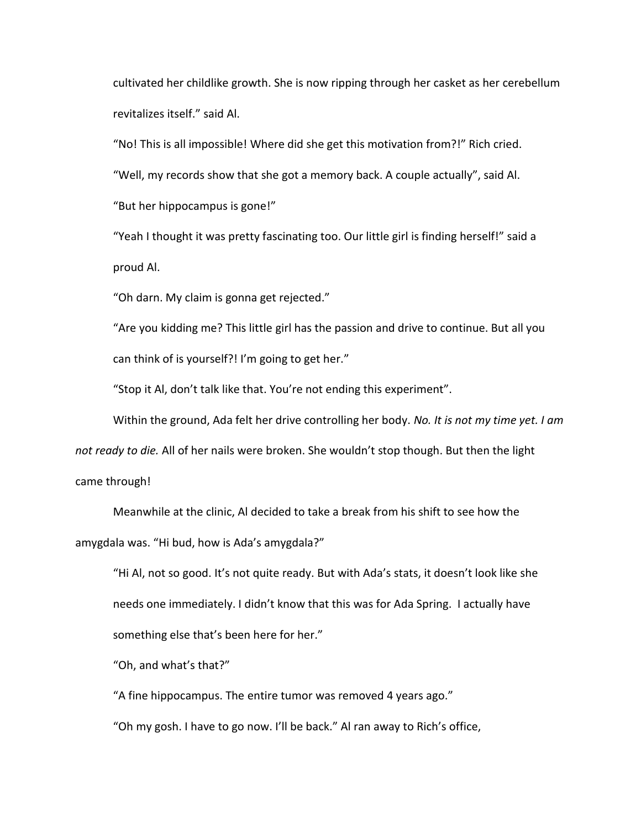cultivated her childlike growth. She is now ripping through her casket as her cerebellum revitalizes itself." said Al.

"No! This is all impossible! Where did she get this motivation from?!" Rich cried.

"Well, my records show that she got a memory back. A couple actually", said Al.

"But her hippocampus is gone!"

"Yeah I thought it was pretty fascinating too. Our little girl is finding herself!" said a proud Al.

"Oh darn. My claim is gonna get rejected."

"Are you kidding me? This little girl has the passion and drive to continue. But all you can think of is yourself?! I'm going to get her."

"Stop it Al, don't talk like that. You're not ending this experiment".

Within the ground, Ada felt her drive controlling her body. *No. It is not my time yet. I am* 

*not ready to die.* All of her nails were broken. She wouldn't stop though. But then the light came through!

Meanwhile at the clinic, Al decided to take a break from his shift to see how the amygdala was. "Hi bud, how is Ada's amygdala?"

"Hi Al, not so good. It's not quite ready. But with Ada's stats, it doesn't look like she needs one immediately. I didn't know that this was for Ada Spring. I actually have something else that's been here for her."

"Oh, and what's that?"

"A fine hippocampus. The entire tumor was removed 4 years ago."

"Oh my gosh. I have to go now. I'll be back." Al ran away to Rich's office,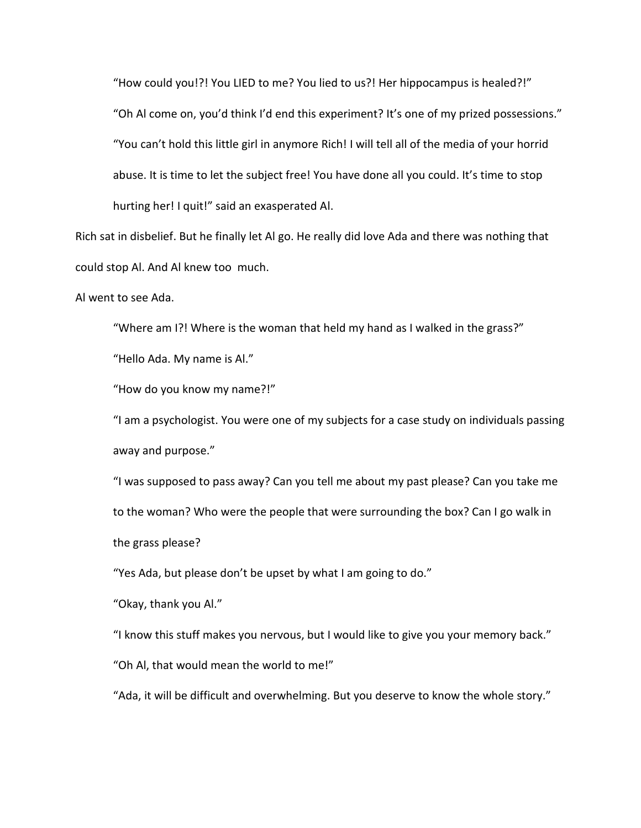"How could you!?! You LIED to me? You lied to us?! Her hippocampus is healed?!" "Oh Al come on, you'd think I'd end this experiment? It's one of my prized possessions." "You can't hold this little girl in anymore Rich! I will tell all of the media of your horrid abuse. It is time to let the subject free! You have done all you could. It's time to stop hurting her! I quit!" said an exasperated Al.

Rich sat in disbelief. But he finally let Al go. He really did love Ada and there was nothing that could stop Al. And Al knew too much.

Al went to see Ada.

"Where am I?! Where is the woman that held my hand as I walked in the grass?"

"Hello Ada. My name is Al."

"How do you know my name?!"

"I am a psychologist. You were one of my subjects for a case study on individuals passing away and purpose."

"I was supposed to pass away? Can you tell me about my past please? Can you take me to the woman? Who were the people that were surrounding the box? Can I go walk in the grass please?

"Yes Ada, but please don't be upset by what I am going to do."

"Okay, thank you Al."

"I know this stuff makes you nervous, but I would like to give you your memory back."

"Oh Al, that would mean the world to me!"

"Ada, it will be difficult and overwhelming. But you deserve to know the whole story."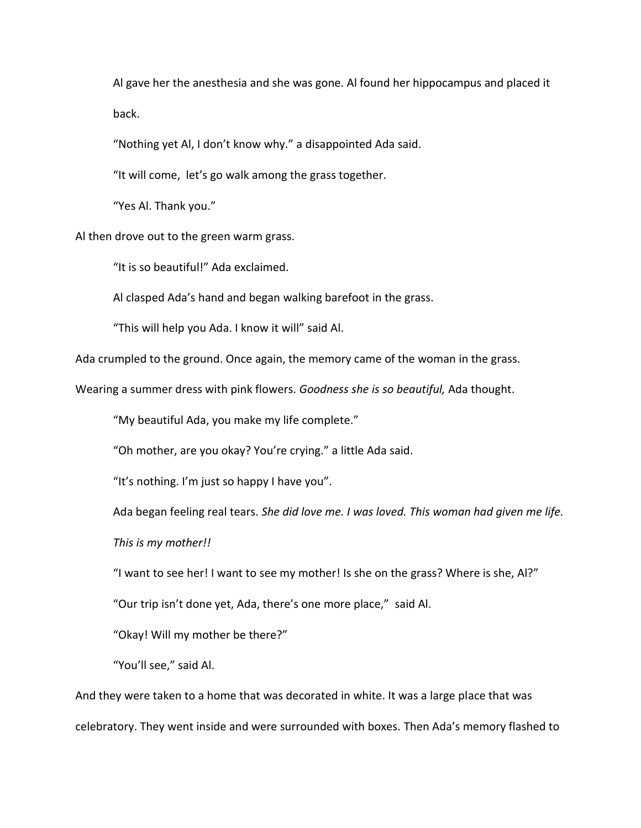Al gave her the anesthesia and she was gone. Al found her hippocampus and placed it back.

"Nothing yet Al, I don't know why." a disappointed Ada said.

"It will come, let's go walk among the grass together.

"Yes Al. Thank you."

Al then drove out to the green warm grass.

"It is so beautiful!" Ada exclaimed.

Al clasped Ada's hand and began walking barefoot in the grass.

"This will help you Ada. I know it will" said Al.

Ada crumpled to the ground. Once again, the memory came of the woman in the grass.

Wearing a summer dress with pink flowers. *Goodness she is so beautiful,* Ada thought.

"My beautiful Ada, you make my life complete."

"Oh mother, are you okay? You're crying." a little Ada said.

"It's nothing. I'm just so happy I have you".

Ada began feeling real tears. *She did love me. I was loved. This woman had given me life.* 

*This is my mother!!* 

"I want to see her! I want to see my mother! Is she on the grass? Where is she, Al?"

"Our trip isn't done yet, Ada, there's one more place," said Al.

"Okay! Will my mother be there?"

"You'll see," said Al.

And they were taken to a home that was decorated in white. It was a large place that was celebratory. They went inside and were surrounded with boxes. Then Ada's memory flashed to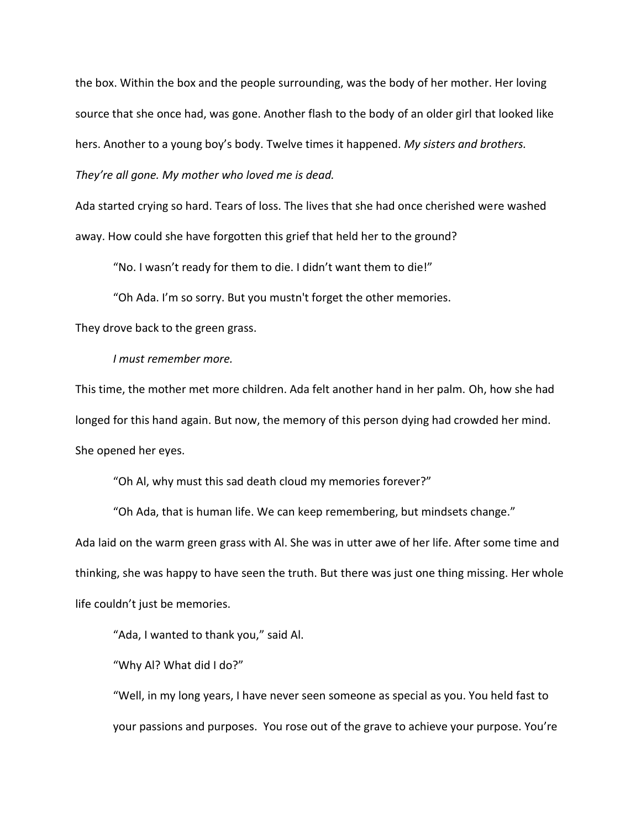the box. Within the box and the people surrounding, was the body of her mother. Her loving source that she once had, was gone. Another flash to the body of an older girl that looked like hers. Another to a young boy's body. Twelve times it happened. *My sisters and brothers. They're all gone. My mother who loved me is dead.*

Ada started crying so hard. Tears of loss. The lives that she had once cherished were washed away. How could she have forgotten this grief that held her to the ground?

"No. I wasn't ready for them to die. I didn't want them to die!"

"Oh Ada. I'm so sorry. But you mustn't forget the other memories.

They drove back to the green grass.

*I must remember more.* 

This time, the mother met more children. Ada felt another hand in her palm. Oh, how she had longed for this hand again. But now, the memory of this person dying had crowded her mind. She opened her eyes.

"Oh Al, why must this sad death cloud my memories forever?"

"Oh Ada, that is human life. We can keep remembering, but mindsets change." Ada laid on the warm green grass with Al. She was in utter awe of her life. After some time and thinking, she was happy to have seen the truth. But there was just one thing missing. Her whole life couldn't just be memories.

"Ada, I wanted to thank you," said Al.

"Why Al? What did I do?"

"Well, in my long years, I have never seen someone as special as you. You held fast to your passions and purposes. You rose out of the grave to achieve your purpose. You're